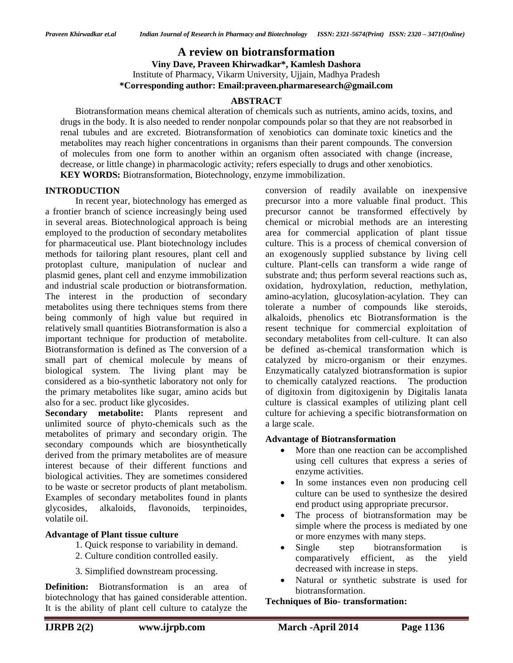**A review on biotransformation Viny Dave, Praveen Khirwadkar\*, Kamlesh Dashora** Institute of Pharmacy, Vikarm University, Ujjain, Madhya Pradesh **\*Corresponding author: Email:praveen.pharmaresearch@gmail.com**

#### **ABSTRACT**

Biotransformation means chemical alteration of chemicals such as [nutrients,](http://en.wikipedia.org/wiki/Nutrient) [amino acids,](http://en.wikipedia.org/wiki/Amino_acids) [toxins,](http://en.wikipedia.org/wiki/Toxins) and drugs in the body. It is also needed to render no[npolar compounds](http://en.wikipedia.org/wiki/Chemical_polarity) polar so that they are not reabsorbed in renal tubules and are excreted. Biotransformation of xenobiotics can dominate [toxic kinetics](http://en.wikipedia.org/wiki/Toxicokinetics) and the metabolites may reach higher concentrations in organisms than their parent compounds. The conversion of molecules from one form to another within an organism often associated with change (increase, decrease, or little change) in pharmacologic activity; refers especially to drugs and other xenobiotics. **KEY WORDS:** Biotransformation, Biotechnology, enzyme immobilization.

**INTRODUCTION**

In recent year, biotechnology has emerged as a frontier branch of science increasingly being used in several areas. Biotechnological approach is being employed to the production of secondary metabolites for pharmaceutical use. Plant biotechnology includes methods for tailoring plant resoures, plant cell and protoplast culture, manipulation of nuclear and plasmid genes, plant cell and enzyme immobilization and industrial scale production or biotransformation. The interest in the production of secondary metabolites using there techniques stems from there being commonly of high value but required in relatively small quantities Biotransformation is also a important technique for production of metabolite. Biotransformation is defined as The conversion of a small part of chemical molecule by means of biological system. The living plant may be considered as a bio-synthetic laboratory not only for the primary metabolites like sugar, amino acids but also for a sec. product like glycosides.

**Secondary metabolite:** Plants represent and unlimited source of phyto-chemicals such as the metabolites of primary and secondary origin. The secondary compounds which are biosynthetically derived from the primary metabolites are of measure interest because of their different functions and biological activities. They are sometimes considered to be waste or secretor products of plant metabolism. Examples of secondary metabolites found in plants glycosides, alkaloids, flavonoids, terpinoides, volatile oil.

#### **Advantage of Plant tissue culture**

- 1. Quick response to variability in demand.
- 2. Culture condition controlled easily.
- 3. Simplified downstream processing.

**Definition:** Biotransformation is an area of biotechnology that has gained considerable attention. It is the ability of plant cell culture to catalyze the

conversion of readily available on inexpensive precursor into a more valuable final product. This precursor cannot be transformed effectively by chemical or microbial methods are an interesting area for commercial application of plant tissue culture. This is a process of chemical conversion of an exogenously supplied substance by living cell culture. Plant-cells can transform a wide range of substrate and; thus perform several reactions such as, oxidation, hydroxylation, reduction, methylation, amino-acylation, glucosylation-acylation. They can tolerate a number of compounds like steroids, alkaloids, phenolics etc Biotransformation is the resent technique for commercial exploitation of secondary metabolites from cell-culture. It can also be defined as-chemical transformation which is catalyzed by micro-organism or their enzymes. Enzymatically catalyzed biotransformation is supior to chemically catalyzed reactions. The production of digitoxin from digitoxigenin by Digitalis lanata culture is classical examples of utilizing plant cell culture for achieving a specific biotransformation on a large scale.

#### **Advantage of Biotransformation**

- More than one reaction can be accomplished using cell cultures that express a series of enzyme activities.
- In some instances even non producing cell culture can be used to synthesize the desired end product using appropriate precursor.
- The process of biotransformation may be simple where the process is mediated by one or more enzymes with many steps.
- Single step biotransformation is comparatively efficient, as the yield decreased with increase in steps.
- Natural or synthetic substrate is used for biotransformation.

#### **Techniques of Bio- transformation:**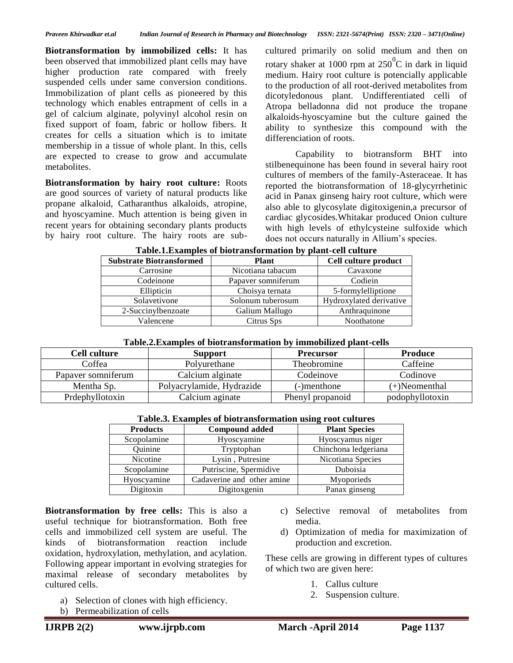**Biotransformation by immobilized cells:** It has been observed that immobilized plant cells may have higher production rate compared with freely suspended cells under same conversion conditions. Immobilization of plant cells as pioneered by this technology which enables entrapment of cells in a gel of calcium alginate, polyvinyl alcohol resin on fixed support of foam, fabric or hollow fibers. It creates for cells a situation which is to imitate membership in a tissue of whole plant. In this, cells are expected to crease to grow and accumulate metabolites.

**Biotransformation by hairy root culture:** Roots are good sources of variety of natural products like propane alkaloid, Catharanthus alkaloids, atropine, and hyoscyamine. Much attention is being given in recent years for obtaining secondary plants products by hairy root culture. The hairy roots are subcultured primarily on solid medium and then on rotary shaker at 1000 rpm at  $250^0C$  in dark in liquid medium. Hairy root culture is potencially applicable to the production of all root-derived metabolites from dicotyledonous plant. Undifferentiated celli of Atropa belladonna did not produce the tropane alkaloids-hyoscyamine but the culture gained the ability to synthesize this compound with the differenciation of roots.

Capability to biotransform BHT into stilbenequinone has been found in several hairy root cultures of members of the family-Asteraceae. It has reported the biotransformation of 18-glycyrrhetinic acid in Panax ginseng hairy root culture, which were also able to glycosylate digitoxigenin,a precursor of cardiac glycosides.Whitakar produced Onion culture with high levels of ethylcysteine sulfoxide which does not occurs naturally in Allium's species.

| <b>Substrate Biotransformed</b> | <b>Plant</b>       | Cell culture product    |
|---------------------------------|--------------------|-------------------------|
| Carrosine                       | Nicotiana tabacum  | Cavaxone                |
| Codeinone                       | Papaver somniferum | Codiein                 |
| Ellipticin                      | Choisya ternata    | 5-formylelliptione      |
| Solavetivone                    | Solonum tuberosum  | Hydroxylated derivative |
| 2-Succinylbenzoate              | Galium Mallugo     | Anthraquinone           |
| Valencene                       | Citrus Sps         | Noothatone              |

#### **Table.1.Examples of biotransformation by plant-cell culture**

| Cell culture       | <b>Support</b>            | <b>Precursor</b> | Produce          |
|--------------------|---------------------------|------------------|------------------|
| Coffea             | Polyurethane              | Theobromine      | Caffeine         |
| Papaver somniferum | Calcium alginate          | Codeinove        | Codinove         |
| Mentha Sp.         | Polyacrylamide, Hydrazide | (-)menthone      | $(+)$ Neomenthal |
| Prdephyllotoxin    | Calcium aginate           | Phenyl propanoid | podophyllotoxin  |

| Tuotelet Enumples of Stoutunstermulent using Foot curruites |                            |                      |  |  |  |
|-------------------------------------------------------------|----------------------------|----------------------|--|--|--|
| <b>Compound added</b><br><b>Products</b>                    |                            | <b>Plant Species</b> |  |  |  |
| Scopolamine                                                 | Hyoscyamine                | Hyoscyamus niger     |  |  |  |
| Quinine                                                     | Tryptophan                 | Chinchona ledgeriana |  |  |  |
| Nicotine                                                    | Lysin, Putresine           | Nicotiana Species    |  |  |  |
| Scopolamine                                                 | Putriscine, Spermidive     | Duboisia             |  |  |  |
| Hyoscyamine                                                 | Cadaverine and other amine | Myoporieds           |  |  |  |
| Digitoxin                                                   | Digitoxgenin               | Panax ginseng        |  |  |  |

### **Table.3. Examples of biotransformation using root cultures**

**Biotransformation by free cells:** This is also a useful technique for biotransformation. Both free cells and immobilized cell system are useful. The kinds of biotransformation reaction include oxidation, hydroxylation, methylation, and acylation. Following appear important in evolving strategies for maximal release of secondary metabolites by cultured cells.

- a) Selection of clones with high efficiency.
- b) Permeabilization of cells
- c) Selective removal of metabolites from media.
- d) Optimization of media for maximization of production and excretion.

These cells are growing in different types of cultures of which two are given here:

- 1. Callus culture
- 2. Suspension culture.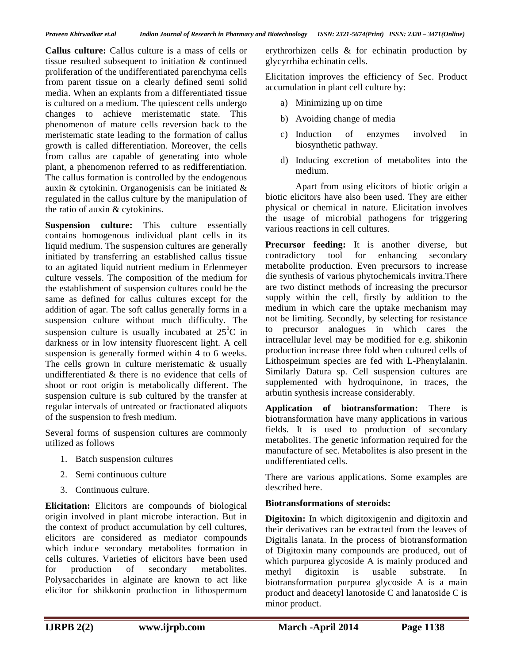*Praveen Khirwadkar et.al Indian Journal of Research in Pharmacy and Biotechnology ISSN: 2321-5674(Print) ISSN: 2320 – 3471(Online)*

**Callus culture:** Callus culture is a mass of cells or tissue resulted subsequent to initiation & continued proliferation of the undifferentiated parenchyma cells from parent tissue on a clearly defined semi solid media. When an explants from a differentiated tissue is cultured on a medium. The quiescent cells undergo changes to achieve meristematic state. This phenomenon of mature cells reversion back to the meristematic state leading to the formation of callus growth is called differentiation. Moreover, the cells from callus are capable of generating into whole plant, a phenomenon referred to as redifferentiation. The callus formation is controlled by the endogenous auxin & cytokinin. Organogenisis can be initiated & regulated in the callus culture by the manipulation of the ratio of auxin & cytokinins.

**Suspension culture:** This culture essentially contains homogenous individual plant cells in its liquid medium. The suspension cultures are generally initiated by transferring an established callus tissue to an agitated liquid nutrient medium in Erlenmeyer culture vessels. The composition of the medium for the establishment of suspension cultures could be the same as defined for callus cultures except for the addition of agar. The soft callus generally forms in a suspension culture without much difficulty. The suspension culture is usually incubated at  $25^{\circ}$ C in darkness or in low intensity fluorescent light. A cell suspension is generally formed within 4 to 6 weeks. The cells grown in culture meristematic & usually undifferentiated & there is no evidence that cells of shoot or root origin is metabolically different. The suspension culture is sub cultured by the transfer at regular intervals of untreated or fractionated aliquots of the suspension to fresh medium.

Several forms of suspension cultures are commonly utilized as follows

- 1. Batch suspension cultures
- 2. Semi continuous culture
- 3. Continuous culture.

**Elicitation:** Elicitors are compounds of biological origin involved in plant microbe interaction. But in the context of product accumulation by cell cultures, elicitors are considered as mediator compounds which induce secondary metabolites formation in cells cultures. Varieties of elicitors have been used for production of secondary metabolites. Polysaccharides in alginate are known to act like elicitor for shikkonin production in lithospermum

erythrorhizen cells & for echinatin production by glycyrrhiha echinatin cells.

Elicitation improves the efficiency of Sec. Product accumulation in plant cell culture by:

- a) Minimizing up on time
- b) Avoiding change of media
- c) Induction of enzymes involved in biosynthetic pathway.
- d) Inducing excretion of metabolites into the medium.

Apart from using elicitors of biotic origin a biotic elicitors have also been used. They are either physical or chemical in nature. Elicitation involves the usage of microbial pathogens for triggering various reactions in cell cultures.

**Precursor feeding:** It is another diverse, but contradictory tool for enhancing secondary metabolite production. Even precursors to increase die synthesis of various phytochemicals invitra.There are two distinct methods of increasing the precursor supply within the cell, firstly by addition to the medium in which care the uptake mechanism may not be limiting. Secondly, by selecting for resistance to precursor analogues in which cares the intracellular level may be modified for e.g. shikonin production increase three fold when cultured cells of Lithospeimum species are fed with L-Phenylalanin. Similarly Datura sp. Cell suspension cultures are supplemented with hydroquinone, in traces, the arbutin synthesis increase considerably.

**Application of biotransformation:** There is biotransformation have many applications in various fields. It is used to production of secondary metabolites. The genetic information required for the manufacture of sec. Metabolites is also present in the undifferentiated cells.

There are various applications. Some examples are described here.

## **Biotransformations of steroids:**

**Digitoxin:** In which digitoxigenin and digitoxin and their derivatives can be extracted from the leaves of Digitalis lanata. In the process of biotransformation of Digitoxin many compounds are produced, out of which purpurea glycoside A is mainly produced and methyl digitoxin is usable substrate. In biotransformation purpurea glycoside A is a main product and deacetyl lanotoside C and lanatoside C is minor product.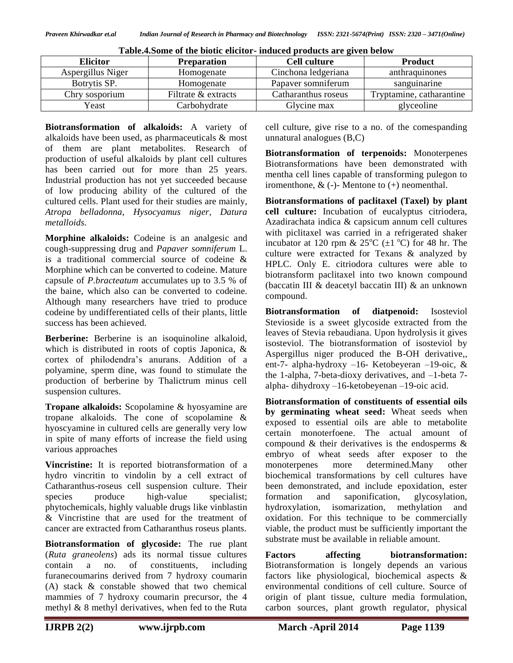| <b>Elicitor</b>   | <b>Preparation</b>  | <b>Cell culture</b> | <b>Product</b>           |
|-------------------|---------------------|---------------------|--------------------------|
| Aspergillus Niger | Homogenate          | Cinchona ledgeriana | anthraquinones           |
| Botrytis SP.      | Homogenate          | Papaver somniferum  | sanguinarine             |
| Chry sosporium    | Filtrate & extracts | Catharanthus roseus | Tryptamine, catharantine |
| Yeast             | Carbohydrate        | Glycine max         | glyceoline               |

**Biotransformation of alkaloids:** A variety of alkaloids have been used, as pharmaceuticals & most of them are plant metabolites. Research of production of useful alkaloids by plant cell cultures has been carried out for more than 25 years. Industrial production has not yet succeeded because of low producing ability of the cultured of the cultured cells. Plant used for their studies are mainly, *Atropa belladonna, Hysocyamus niger, Datura metalloids.*

**Morphine alkaloids:** Codeine is an analgesic and cough-suppressing drug and *Papaver somniferum* L. is a traditional commercial source of codeine & Morphine which can be converted to codeine. Mature capsule of *P.bracteatum* accumulates up to 3.5 % of the baine, which also can be converted to codeine. Although many researchers have tried to produce codeine by undifferentiated cells of their plants, little success has been achieved.

**Berberine:** Berberine is an isoquinoline alkaloid, which is distributed in roots of coptis Japonica, & cortex of philodendra's anurans. Addition of a polyamine, sperm dine, was found to stimulate the production of berberine by Thalictrum minus cell suspension cultures.

**Tropane alkaloids:** Scopolamine & hyosyamine are tropane alkaloids. The cone of scopolamine & hyoscyamine in cultured cells are generally very low in spite of many efforts of increase the field using various approaches

**Vincristine:** It is reported biotransformation of a hydro vincritin to vindolin by a cell extract of Catharanthus-roseus cell suspension culture. Their species produce high-value specialist; phytochemicals, highly valuable drugs like vinblastin & Vincristine that are used for the treatment of cancer are extracted from Catharanthus roseus plants.

**Biotransformation of glycoside:** The rue plant (*Ruta graneolens*) ads its normal tissue cultures contain a no. of constituents, including furanecoumarins derived from 7 hydroxy coumarin (A) stack & constable showed that two chemical mammies of 7 hydroxy coumarin precursor, the 4 methyl & 8 methyl derivatives, when fed to the Ruta

cell culture, give rise to a no. of the comespanding unnatural analogues (B,C)

**Biotransformation of terpenoids:** Monoterpenes Biotransformations have been demonstrated with mentha cell lines capable of transforming pulegon to iromenthone,  $\&$  (-)-Mentone to (+) neomenthal.

**Biotransformations of paclitaxel (Taxel) by plant cell culture:** Incubation of eucalyptus citriodera, Azadirachata indica & capsicum annum cell cultures with piclitaxel was carried in a refrigerated shaker incubator at 120 rpm &  $25^{\circ}C$  ( $\pm 1^{\circ}C$ ) for 48 hr. The culture were extracted for Texans & analyzed by HPLC. Only E. citriodora cultures were able to biotransform paclitaxel into two known compound (baccatin III & deacetyl baccatin III) & an unknown compound.

**Biotransformation of diatpenoid:** Isosteviol Stevioside is a sweet glycoside extracted from the leaves of Stevia rebaudiana. Upon hydrolysis it gives isosteviol. The biotransformation of isosteviol by Aspergillus niger produced the B-OH derivative,, ent-7- alpha-hydroxy –16- Ketobeyeran –19-oic, & the 1-alpha, 7-beta-dioxy derivatives, and –1-beta 7 alpha- dihydroxy –16-ketobeyenan –19-oic acid.

**Biotransformation of constituents of essential oils by germinating wheat seed:** Wheat seeds when exposed to essential oils are able to metabolite certain monoterfoene. The actual amount of compound & their derivatives is the endosperms & embryo of wheat seeds after exposer to the monoterpenes more determined.Many other biochemical transformations by cell cultures have been demonstrated, and include epoxidation, ester formation and saponification, glycosylation, hydroxylation, isomarization, methylation and oxidation. For this technique to be commercially viable, the product must be sufficiently important the substrate must be available in reliable amount.

**Factors affecting biotransformation:**  Biotransformation is longely depends an various factors like physiological, biochemical aspects & environmental conditions of cell culture. Source of origin of plant tissue, culture media formulation, carbon sources, plant growth regulator, physical